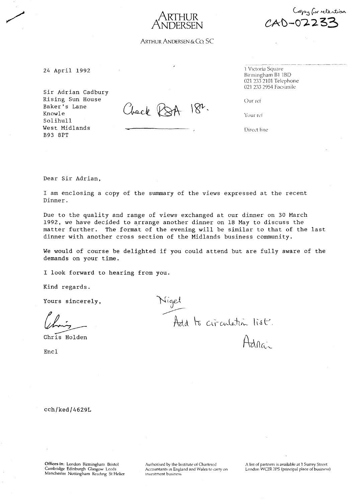$\cancel{A}'$ ARTHUR **NDERSEN**



24 April 1992 2020 1 Victoria Square

Sir Adrian Cadbury Rising Sun House Baker's Lane Knowle Solihull West Midlands B93 8PT

 $18<sup>n</sup>$ . Check RSA

Birmingham B1 1BD 021 2332101 Telephone 021 2332954 Facsimile

Copy for retention

**CAt-O?233**

Our ref

Your ref

Direct line

Dear Sir Adrian,

I am enclosing a copy of the summary of the views expressed at the recent Dinner.

Due to the quality and range of views exchanged at our dinner on 30 March 1992, we have decided to arrange another dinner on 18 May to discuss the matter further. The format of the evening will be similar to that of the last dinner with another cross section of the Midlands business community.

We would of course be delighted if you could attend but are fully aware of the demands on your time.

I look forward to hearing from you.

Kind regards.

Yours sincerely,

<sup>~</sup> *t>;'*

Chris Holden

Encl

Nigel Add to circulation list.<br>Adnain

cchjkedj4629L

Offices in: London Birmingham Bristol Cambridge Edinburgh Glasgow Leeds Manchester Nottingham Reading St Helier

Authorised by the Institute of Chartered Accountants in England and Wales to carry on **investment business**

A list of partners is available at 1 Surrey Street London WC2R 2PS (principal place of business)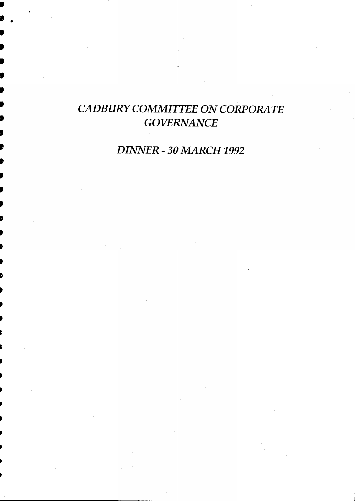# *CADBURY COMMITTEE* ON *CORPORATE GOVERNANCE*

•

~

-~ ,<br>,<br>,

It

t ,<br>,<br>,

,<br>,<br>,

,<br>,<br>,

,<br>,<br>,

d<br>D

,<br>,

)<br>)

• d<br>D

d<br>D

d<br>D

p<br>D

)<br>)

• p ,<br>,

*DINNER - 30 MARCH 1992*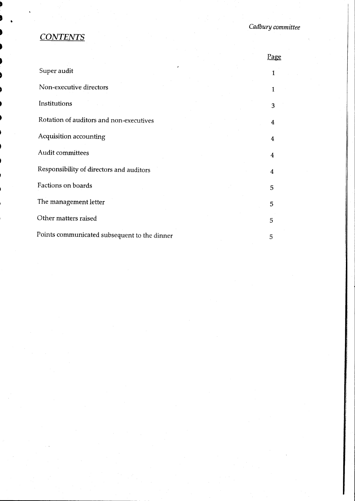# *CONTENTS*

|                                              | <u>Page</u> |
|----------------------------------------------|-------------|
|                                              |             |
|                                              |             |
|                                              | З           |
|                                              | 4           |
|                                              | 4           |
|                                              | 4           |
|                                              | 4           |
|                                              | 5           |
|                                              | 5           |
|                                              | 5           |
| Points communicated subsequent to the dinner | 5           |
|                                              |             |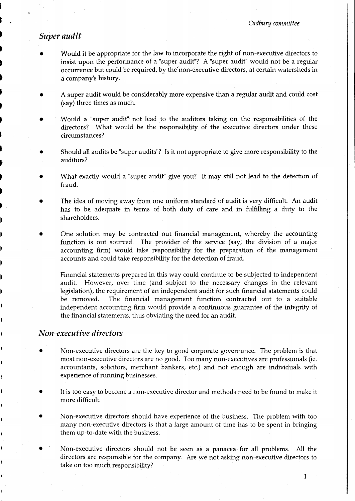#### *Super audit*

S

t

•

• t

t

t

t

- Would it be appropriate for the law to incorporate the right of non-executive directors to insist upon the performance of a "super audit"? A "super audit" would not be a regular occurrence but could be required, by the' non-executive directors, at certain watersheds in a company's history.
- A super audit would be considerably more expensive than a regular audit and could cost (say) three times as much.
- Would <sup>a</sup> "super audit" not lead to the auditors taking on the responsibilities of the directors? What would be the responsibility of the executive directors under these circumstances?
- Should all audits be "super audits"? Isit not appropriate to give more responsibility to the auditors?
- What exactly would <sup>a</sup> "super audit" give you? It may still not lead to the detection of fraud.
- The idea of moving away from one uniform standard of audit is very difficult. An audit has to be adequate in terms of both duty of care and in fulfilling a duty to the shareholders.
- One solution may be contracted out financial management, whereby the accounting function is out sourced. The provider of the service (say, the division of a major accounting firm) would take responsibility for the preparation of the management accounts and could take responsibility for the detection of fraud.

Financial statements prepared in this way could continue to be subjected to independent audit. However, over time (and subject to the necessary changes in the relevant legislation), the requirement of an independent audit for such financial statements could be removed. The financial management function contracted out to a suitable independent accounting firm would provide a continuous guarantee of the integrity of the financial statements, thus obviating the need for an audit.

#### *Non-executive directors*

- Non-executive directors are the key to good corporate governance. The problem is that most non-executive directors are no good. Too many non-executives are professionals (ie. accountants, solicitors, merchant bankers, etc.) and not enough are individuals with experience of running businesses.
- It is too easy to become a non-executive director and methods need to be found to make it more difficult.
- Non-executive directors should have experience of the business. The problem with too many non-executive directors is that a large amount of time has to be spent in bringing them up-to-date with the business.
- Non-executive directors should not be seen as a panacea for all problems. All the directors are responsible for the company. Are we not asking non-executive directors to take on too much responsibility?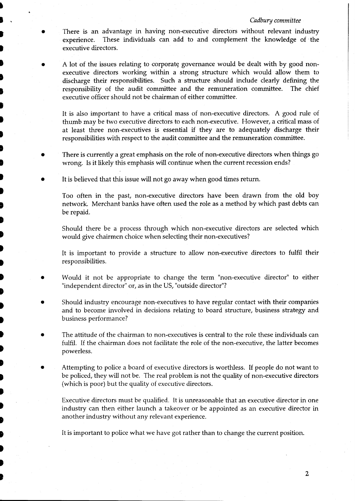#### *Cadbury committee*

- There is an advantage in having non-executive directors without relevant industry experience. These individuals can add to and complement the knowledge of the executive directors.
- A lot of the issues relating to corporate governance would be dealt with by good nonexecutive directors working within a strong structure which would allow them to discharge their responsibilities. Such a structure should include clearly defining the responsibility of the audit committee and the remuneration committee. The chief executive officer should not be chairman of either committee.

It is also important to have a critical mass of non-executive directors. A good rule of thumb may be two executive directors to each non-executive. However, a critical mass of at least three non-executives is essential if they are to adequately discharge their responsibilities with respect to the audit committee and the remuneration committee.

- There is currently a great emphasis on the role of non-executive directors when things go wrong. Is it likely this emphasis will continue when the current recession ends?
- It is believed that this issue will not go away when good times return.

•  $\blacksquare$ 

t

•

•

t

I

 $\blacksquare$ 

• I

•

•<br>•  $\blacksquare$ 

I

।<br>.

• **D** 

•

।<br>.<br>.

•

•

•

•

।<br>-<br>-

•<br>. t

•

•

•

।<br>.<br>.

।<br>स t

t

•

।<br>t

Too often in the past, non-executive directors have been drawn from the old boy network. Merchant banks have often used the role as a method by which past debts can be repaid.

Should there be a process through which non-executive directors are selected which would give chairmen choice when selecting their non-executives?

It is important to provide a structure to allow non-executive directors to fulfil their responsibilities.

- Would it not be appropriate to change the term "non-executive director" to either "independent director" or, as in the US, "outside director"?
- Should industry encourage non-executives to have regular contact with their companies and to become involved in decisions relating to board structure, business strategy and business performance?
- The attitude of the chairman to non-executives is central to the role these individuals can fulfil. If the chairman does not facilitate the role of the non-executive, the latter becomes powerless.
- Attempting to police <sup>a</sup> board of executive directors is worthless. If people do not want to be policed, they will not be. The real problem is not the quality of non-executive directors (which is poor) but the quality of executive directors.

Executive directors must be qualified. It is unreasonable that an executive director in one industry can then either launch a takeover or be appointed as an executive director in another industry without any relevant experience.

It is important to police what we have got rather than to change the current position.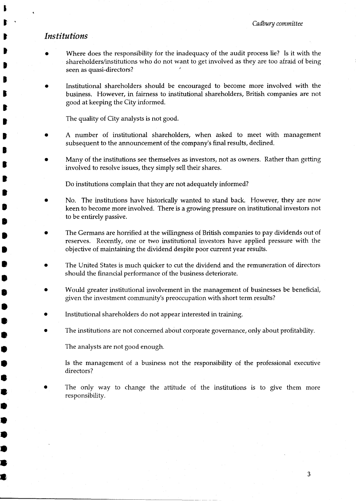#### *Institutions*

S  $\mathbf{r}$ 

t

t

।<br>-**B** 

I

t

t

।<br>-

।<br>.

।<br>t

**e** 

•

•

**•**<br>•

•

**e** 

**•**<br>-

•

•

•

•<br>•

•

•

•<br>•

•

•

•<br>•

•

•<br>•

•<br>●

•

- Where does the responsibility for the inadequacy of the audit process lie? Is it with the shareholders/institutions who do not want to get involved as they are too afraid of being seen as quasi-directors?
- Institutional shareholders should be encouraged to become more involved with the business. However, in fairness to institutional shareholders, British companies are not good at keeping the City informed.

The quality of City analysts is not good.

- A number of institutional shareholders, when asked to meet with management subsequent to the announcement of the company's final results, declined.
- Many of the institutions see themselves as investors, not as owners. Rather than getting involved to resolve issues, they simply sell their shares.

Do institutions complain that they are not adequately informed?

- No. The institutions have historically wanted to stand back. However, they are now keen to become more involved. There is a growing pressure on institutional investors not to be entirely passive.
- The Germans are horrified at the willingness of British companies to pay dividends out of reserves. Recently, one or two institutional investors have applied pressure with the objective of maintaining the dividend despite poor current year results.
- The United States is much quicker to cut the dividend and the remuneration of directors should the financial performance of the business deteriorate.
- Would greater institutional involvement in the management of businesses be beneficial, given the investment community's preoccupation with short term results?
- Institutional shareholders do not appear interested in training.
- The institutions are not concerned about corporate governance, only about profitability.

The analysts are not good enough.

Is the management of a business not the responsibility of the professional executive directors?

The only way to change the attitude of the institutions is to give them more responsibility.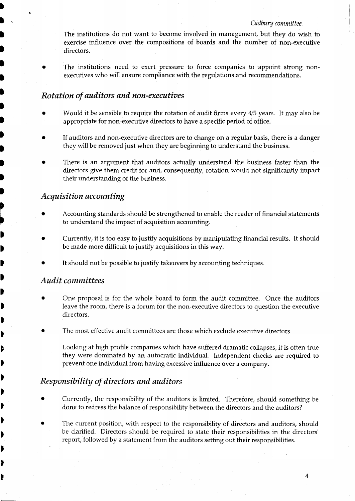#### *Cadbury committee*

The institutions do not want to become involved in management, but they do wish to exercise influence over the compositions of boards and the number of non-executive directors.

The institutions need to exert pressure to force companies to appoint strong nonexecutives who will ensure compliance with the regulations and recommendations.

#### *Rotation of auditors and non-executives*

- Would it be sensible to require the rotation of audit firms every 4/5 years. It may also be appropriate for non-executive directors to have a specific period of office.
- If auditors and non-executive directors are to change on a regular basis, there is a danger they will be removed just when they are beginning to understand the business.
- There is an argument that auditors actually understand the business faster than the directors give them credit for and, consequently, rotation would not significantly impact their understanding of the business.

# *Acquisition accounting*

•

•

•

।<br>.

।<br>.

।<br>.

• It

It

It

It

It

~

~

It

It

It

It I

It

It

It

•

• It

।<br>∕

•

• t

• )<br>)

•

• •

- Accounting standards should be strengthened to enable the reader of financial statements to understand the impact of acquisition accounting.
- Currently, it is too easy to justify acquisitions by manipulating financial results. It should be made more difficult to justify acquisitions in this way.
- It should not be possible to justify takeovers by accounting techniques.

# *Audit committees*

- One proposal is for the whole board to form the audit committee. Once the auditors leave the room, there is a forum for the non-executive directors to question the executive directors.
- The most effective audit committees are those which exclude executive directors.

Looking at high profile companies which have suffered dramatic collapses, it is often true they were dominated by an autocratic individual. Independent checks are required to prevent one individual from having excessive influence over a company.

# *Responsibility of directors and auditors*

- Currently, the responsibility of the auditors is limited. Therefore, should something be done to redress the balance of responsibility between the directors and the auditors?
- The current position, with respect to the responsibility of directors and auditors, should be clarified. Directors should be required to state their responsibilities in the directors' report, followed by a statement from the auditors setting out their responsibilities.

4